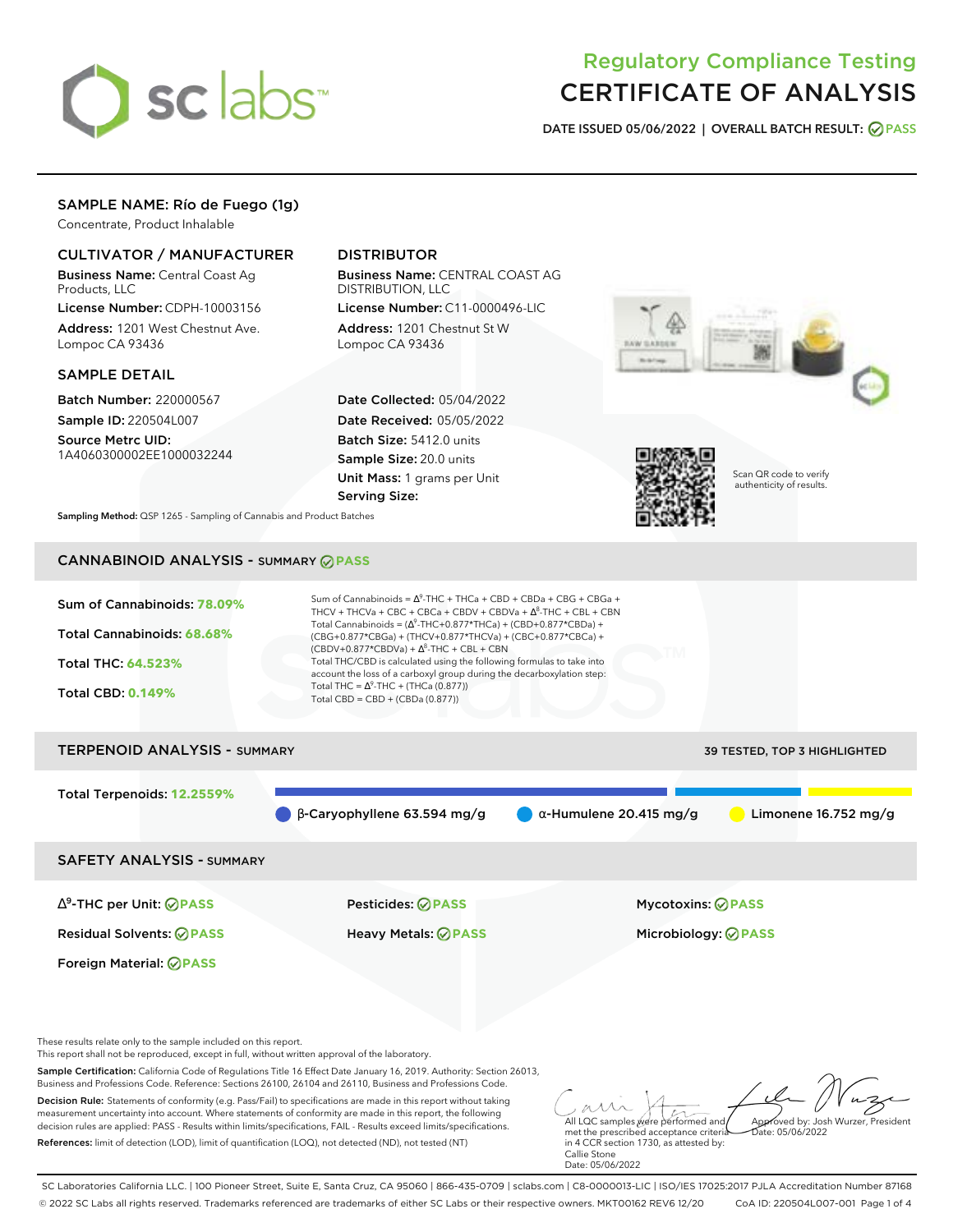

# Regulatory Compliance Testing CERTIFICATE OF ANALYSIS

**DATE ISSUED 05/06/2022 | OVERALL BATCH RESULT: PASS**

# SAMPLE NAME: Río de Fuego (1g)

Concentrate, Product Inhalable

# CULTIVATOR / MANUFACTURER

Business Name: Central Coast Ag Products, LLC

License Number: CDPH-10003156 Address: 1201 West Chestnut Ave. Lompoc CA 93436

## SAMPLE DETAIL

Batch Number: 220000567 Sample ID: 220504L007

Source Metrc UID: 1A4060300002EE1000032244

# DISTRIBUTOR

Business Name: CENTRAL COAST AG DISTRIBUTION, LLC

License Number: C11-0000496-LIC Address: 1201 Chestnut St W Lompoc CA 93436

Date Collected: 05/04/2022 Date Received: 05/05/2022 Batch Size: 5412.0 units Sample Size: 20.0 units Unit Mass: 1 grams per Unit Serving Size:





Scan QR code to verify authenticity of results.

**Sampling Method:** QSP 1265 - Sampling of Cannabis and Product Batches

# CANNABINOID ANALYSIS - SUMMARY **PASS**

| Sum of Cannabinoids: 78.09%<br>Total Cannabinoids: 68.68%<br>Total THC: 64.523%<br><b>Total CBD: 0.149%</b> | Sum of Cannabinoids = $\Delta^9$ -THC + THCa + CBD + CBDa + CBG + CBGa +<br>THCV + THCVa + CBC + CBCa + CBDV + CBDVa + $\Delta^8$ -THC + CBL + CBN<br>Total Cannabinoids = $(\Delta^9$ -THC+0.877*THCa) + (CBD+0.877*CBDa) +<br>(CBG+0.877*CBGa) + (THCV+0.877*THCVa) + (CBC+0.877*CBCa) +<br>$(CBDV+0.877*CBDVa) + \Delta^8$ -THC + CBL + CBN<br>Total THC/CBD is calculated using the following formulas to take into<br>account the loss of a carboxyl group during the decarboxylation step:<br>Total THC = $\Delta^9$ -THC + (THCa (0.877))<br>Total CBD = $CBD + (CBDa (0.877))$ |                                     |
|-------------------------------------------------------------------------------------------------------------|----------------------------------------------------------------------------------------------------------------------------------------------------------------------------------------------------------------------------------------------------------------------------------------------------------------------------------------------------------------------------------------------------------------------------------------------------------------------------------------------------------------------------------------------------------------------------------------|-------------------------------------|
| <b>TERPENOID ANALYSIS - SUMMARY</b>                                                                         |                                                                                                                                                                                                                                                                                                                                                                                                                                                                                                                                                                                        | <b>39 TESTED, TOP 3 HIGHLIGHTED</b> |
| Total Terpenoids: 12.2559%                                                                                  | $\beta$ -Caryophyllene 63.594 mg/g<br>$\alpha$ -Humulene 20.415 mg/g                                                                                                                                                                                                                                                                                                                                                                                                                                                                                                                   | Limonene $16.752$ mg/g              |

SAFETY ANALYSIS - SUMMARY

∆ 9 -THC per Unit: **PASS** Pesticides: **PASS** Mycotoxins: **PASS**

Foreign Material: **PASS**

Residual Solvents: **PASS** Heavy Metals: **PASS** Microbiology: **PASS**

These results relate only to the sample included on this report.

This report shall not be reproduced, except in full, without written approval of the laboratory.

Sample Certification: California Code of Regulations Title 16 Effect Date January 16, 2019. Authority: Section 26013, Business and Professions Code. Reference: Sections 26100, 26104 and 26110, Business and Professions Code.

Decision Rule: Statements of conformity (e.g. Pass/Fail) to specifications are made in this report without taking measurement uncertainty into account. Where statements of conformity are made in this report, the following decision rules are applied: PASS - Results within limits/specifications, FAIL - Results exceed limits/specifications. References: limit of detection (LOD), limit of quantification (LOQ), not detected (ND), not tested (NT)

All LQC samples were performed and met the prescribed acceptance criteria Approved by: Josh Wurzer, President  $hat: 05/06/2022$ 

in 4 CCR section 1730, as attested by: Callie Stone Date: 05/06/2022

SC Laboratories California LLC. | 100 Pioneer Street, Suite E, Santa Cruz, CA 95060 | 866-435-0709 | sclabs.com | C8-0000013-LIC | ISO/IES 17025:2017 PJLA Accreditation Number 87168 © 2022 SC Labs all rights reserved. Trademarks referenced are trademarks of either SC Labs or their respective owners. MKT00162 REV6 12/20 CoA ID: 220504L007-001 Page 1 of 4